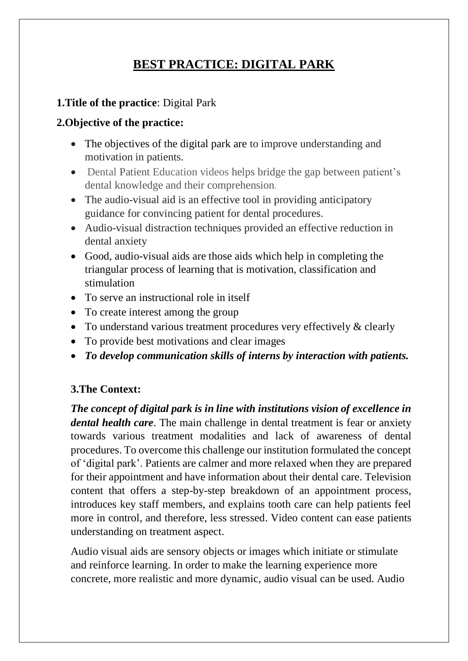# **BEST PRACTICE: DIGITAL PARK**

## **1.Title of the practice**: Digital Park

### **2.Objective of the practice:**

- The objectives of the digital park are to improve understanding and motivation in patients.
- Dental Patient Education videos helps bridge the gap between patient's dental knowledge and their comprehension.
- The audio-visual aid is an effective tool in providing anticipatory guidance for convincing patient for dental procedures.
- Audio-visual distraction techniques provided an effective reduction in dental anxiety
- Good, audio-visual aids are those aids which help in completing the triangular process of learning that is motivation, classification and stimulation
- To serve an instructional role in itself
- To create interest among the group
- To understand various treatment procedures very effectively & clearly
- To provide best motivations and clear images
- *To develop communication skills of interns by interaction with patients.*

# **3.The Context:**

*The concept of digital park is in line with institutions vision of excellence in dental health care*. The main challenge in dental treatment is fear or anxiety towards various treatment modalities and lack of awareness of dental procedures. To overcome this challenge our institution formulated the concept of 'digital park'. Patients are calmer and more relaxed when they are prepared for their appointment and have information about their dental care. Television content that offers a step-by-step breakdown of an appointment process, introduces key staff members, and explains tooth care can help patients feel more in control, and therefore, less stressed. Video content can ease patients understanding on treatment aspect.

Audio visual aids are sensory objects or images which initiate or stimulate and reinforce learning. In order to make the learning experience more concrete, more realistic and more dynamic, audio visual can be used. Audio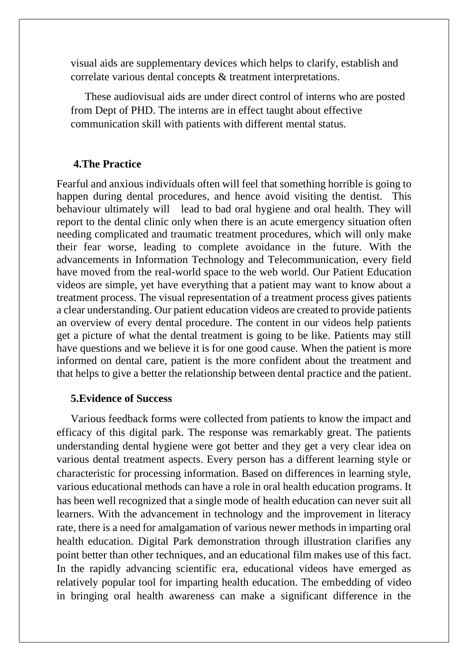visual aids are supplementary devices which helps to clarify, establish and correlate various dental concepts & treatment interpretations.

These audiovisual aids are under direct control of interns who are posted from Dept of PHD. The interns are in effect taught about effective communication skill with patients with different mental status.

#### **4.The Practice**

Fearful and anxious individuals often will feel that something horrible is going to happen during dental procedures, and hence avoid visiting the dentist. This behaviour ultimately will lead to bad oral hygiene and oral health. They will report to the dental clinic only when there is an acute emergency situation often needing complicated and traumatic treatment procedures, which will only make their fear worse, leading to complete avoidance in the future. With the advancements in Information Technology and Telecommunication, every field have moved from the real-world space to the web world. Our Patient Education videos are simple, yet have everything that a patient may want to know about a treatment process. The visual representation of a treatment process gives patients a clear understanding. Our patient education videos are created to provide patients an overview of every dental procedure. The content in our videos help patients get a picture of what the dental treatment is going to be like. Patients may still have questions and we believe it is for one good cause. When the patient is more informed on dental care, patient is the more confident about the treatment and that helps to give a better the relationship between dental practice and the patient.

#### **5.Evidence of Success**

Various feedback forms were collected from patients to know the impact and efficacy of this digital park. The response was remarkably great. The patients understanding dental hygiene were got better and they get a very clear idea on various dental treatment aspects. Every person has a different learning style or characteristic for processing information. Based on differences in learning style, various educational methods can have a role in oral health education programs. It has been well recognized that a single mode of health education can never suit all learners. With the advancement in technology and the improvement in literacy rate, there is a need for amalgamation of various newer methods in imparting oral health education. Digital Park demonstration through illustration clarifies any point better than other techniques, and an educational film makes use of this fact. In the rapidly advancing scientific era, educational videos have emerged as relatively popular tool for imparting health education. The embedding of video in bringing oral health awareness can make a significant difference in the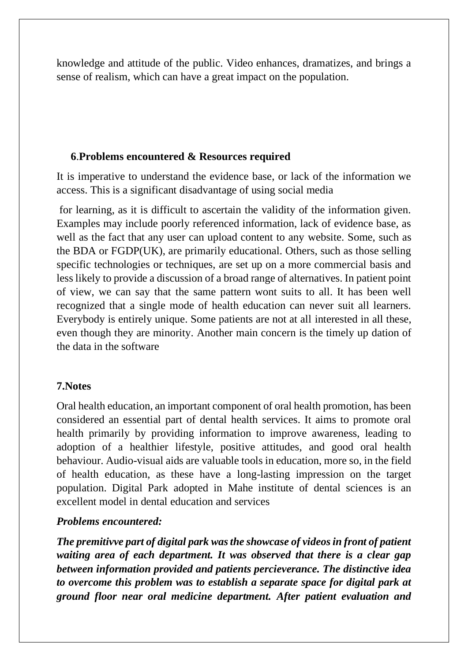knowledge and attitude of the public. Video enhances, dramatizes, and brings a sense of realism, which can have a great impact on the population.

### **6**.**Problems encountered & Resources required**

It is imperative to understand the evidence base, or lack of the information we access. This is a significant disadvantage of using social media

for learning, as it is difficult to ascertain the validity of the information given. Examples may include poorly referenced information, lack of evidence base, as well as the fact that any user can upload content to any website. Some, such as the BDA or FGDP(UK), are primarily educational. Others, such as those selling specific technologies or techniques, are set up on a more commercial basis and less likely to provide a discussion of a broad range of alternatives. In patient point of view, we can say that the same pattern wont suits to all. It has been well recognized that a single mode of health education can never suit all learners. Everybody is entirely unique. Some patients are not at all interested in all these, even though they are minority. Another main concern is the timely up dation of the data in the software

### **7.Notes**

Oral health education, an important component of oral health promotion, has been considered an essential part of dental health services. It aims to promote oral health primarily by providing information to improve awareness, leading to adoption of a healthier lifestyle, positive attitudes, and good oral health behaviour. Audio-visual aids are valuable tools in education, more so, in the field of health education, as these have a long-lasting impression on the target population. Digital Park adopted in Mahe institute of dental sciences is an excellent model in dental education and services

#### *Problems encountered:*

*The premitivve part of digital park was the showcase of videos in front of patient waiting area of each department. It was observed that there is a clear gap between information provided and patients percieverance. The distinctive idea to overcome this problem was to establish a separate space for digital park at ground floor near oral medicine department. After patient evaluation and*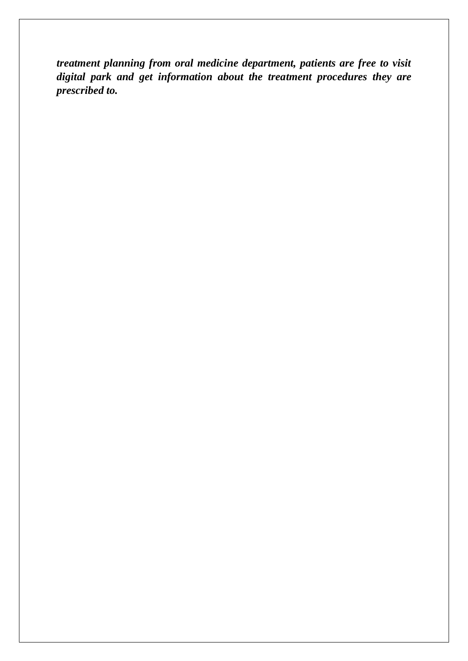*treatment planning from oral medicine department, patients are free to visit digital park and get information about the treatment procedures they are prescribed to.*